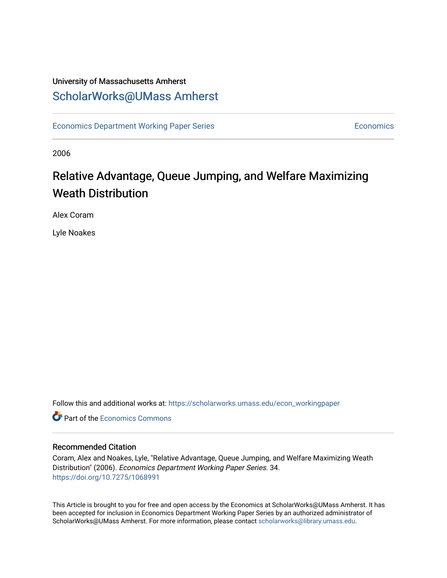### University of Massachusetts Amherst [ScholarWorks@UMass Amherst](https://scholarworks.umass.edu/)

[Economics Department Working Paper Series](https://scholarworks.umass.edu/econ_workingpaper) **Economics** Economics

2006

### Relative Advantage, Queue Jumping, and Welfare Maximizing Weath Distribution

Alex Coram

Lyle Noakes

Follow this and additional works at: [https://scholarworks.umass.edu/econ\\_workingpaper](https://scholarworks.umass.edu/econ_workingpaper?utm_source=scholarworks.umass.edu%2Fecon_workingpaper%2F34&utm_medium=PDF&utm_campaign=PDFCoverPages) 

**C** Part of the [Economics Commons](http://network.bepress.com/hgg/discipline/340?utm_source=scholarworks.umass.edu%2Fecon_workingpaper%2F34&utm_medium=PDF&utm_campaign=PDFCoverPages)

### Recommended Citation

Coram, Alex and Noakes, Lyle, "Relative Advantage, Queue Jumping, and Welfare Maximizing Weath Distribution" (2006). Economics Department Working Paper Series. 34. <https://doi.org/10.7275/1068991>

This Article is brought to you for free and open access by the Economics at ScholarWorks@UMass Amherst. It has been accepted for inclusion in Economics Department Working Paper Series by an authorized administrator of ScholarWorks@UMass Amherst. For more information, please contact [scholarworks@library.umass.edu.](mailto:scholarworks@library.umass.edu)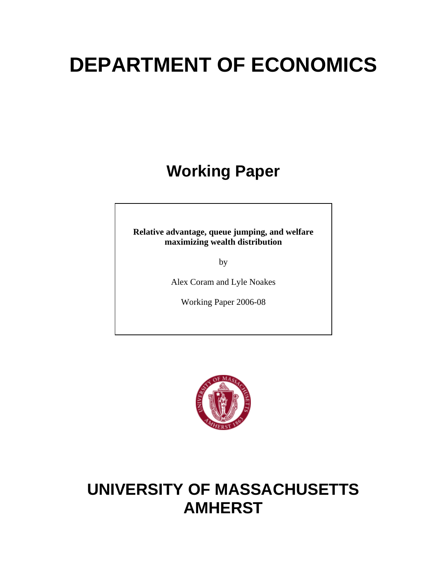# **DEPARTMENT OF ECONOMICS**

# **Working Paper**

**Relative advantage, queue jumping, and welfare maximizing wealth distribution** 

by

Alex Coram and Lyle Noakes

Working Paper 2006-08



## **UNIVERSITY OF MASSACHUSETTS AMHERST**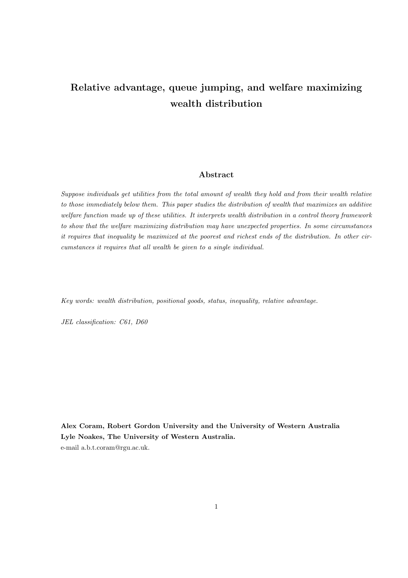### Relative advantage, queue jumping, and welfare maximizing wealth distribution

#### Abstract

Suppose individuals get utilities from the total amount of wealth they hold and from their wealth relative to those immediately below them. This paper studies the distribution of wealth that maximizes an additive welfare function made up of these utilities. It interprets wealth distribution in a control theory framework to show that the welfare maximizing distribution may have unexpected properties. In some circumstances it requires that inequality be maximized at the poorest and richest ends of the distribution. In other circumstances it requires that all wealth be given to a single individual.

Key words: wealth distribution, positional goods, status, inequality, relative advantage.

JEL classification: C61, D60

Alex Coram, Robert Gordon University and the University of Western Australia Lyle Noakes, The University of Western Australia. e-mail a.b.t.coram@rgu.ac.uk.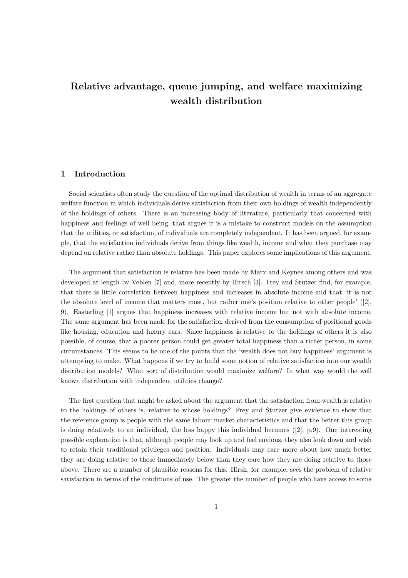### Relative advantage, queue jumping, and welfare maximizing wealth distribution

### 1 Introduction

Social scientists often study the question of the optimal distribution of wealth in terms of an aggregate welfare function in which individuals derive satisfaction from their own holdings of wealth independently of the holdings of others. There is an increasing body of literature, particularly that concerned with happiness and feelings of well being, that argues it is a mistake to construct models on the assumption that the utilities, or satisfaction, of individuals are completely independent. It has been argued, for example, that the satisfaction individuals derive from things like wealth, income and what they purchase may depend on relative rather than absolute holdings. This paper explores some implications of this argument.

The argument that satisfaction is relative has been made by Marx and Keynes among others and was developed at length by Veblen [7] and, more recently by Hirsch [3]. Frey and Stutzer find, for example, that there is little correlation between happiness and increases in absolute income and that 'it is not the absolute level of income that matters most, but rather one's position relative to other people' ([2], 9). Easterling [1] argues that happiness increases with relative income but not with absolute income. The same argument has been made for the satisfaction derived from the consumption of positional goods like housing, education and luxury cars. Since happiness is relative to the holdings of others it is also possible, of course, that a poorer person could get greater total happiness than a richer person, in some circumstances. This seems to be one of the points that the 'wealth does not buy happiness' argument is attempting to make. What happens if we try to build some notion of relative satisfaction into our wealth distribution models? What sort of distribution would maximize welfare? In what way would the well known distribution with independent utilities change?

The first question that might be asked about the argument that the satisfaction from wealth is relative to the holdings of others is, relative to whose holdings? Frey and Stutzer give evidence to show that the reference group is people with the same labour market characteristics and that the better this group is doing relatively to an individual, the less happy this individual becomes  $(2)$ , p.9). One interesting possible explanation is that, although people may look up and feel envious, they also look down and wish to retain their traditional privileges and position. Individuals may care more about how much better they are doing relative to those immediately below than they care how they are doing relative to those above. There are a number of plausible reasons for this. Hirsh, for example, sees the problem of relative satisfaction in terms of the conditions of use. The greater the number of people who have access to some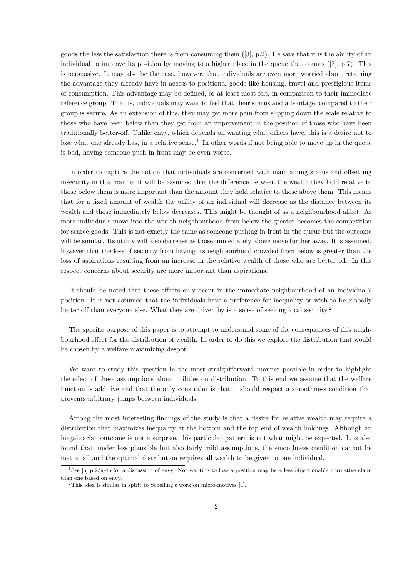goods the less the satisfaction there is from consuming them  $(3, p.2)$ . He says that it is the ability of an individual to improve its position by moving to a higher place in the queue that counts ([3], p.7). This is persuasive. It may also be the case, however, that individuals are even more worried about retaining the advantage they already have in access to positional goods like housing, travel and prestigious items of consumption. This advantage may be defined, or at least most felt, in comparison to their immediate reference group. That is, individuals may want to feel that their status and advantage, compared to their group is secure. As an extension of this, they may get more pain from slipping down the scale relative to those who have been below than they get from an improvement in the position of those who have been traditionally better-off. Unlike envy, which depends on wanting what others have, this is a desire not to lose what one already has, in a relative sense.<sup>1</sup> In other words if not being able to move up in the queue is bad, having someone push in front may be even worse.

In order to capture the notion that individuals are concerned with maintaining status and offsetting insecurity in this manner it will be assumed that the difference between the wealth they hold relative to those below them is more important than the amount they hold relative to those above them. This means that for a fixed amount of wealth the utility of an individual will decrease as the distance between its wealth and those immediately below decreases. This might be thought of as a neighbourhood affect. As more individuals move into the wealth neighbourhood from below the greater becomes the competition for scarce goods. This is not exactly the same as someone pushing in front in the queue but the outcome will be similar. Its utility will also decrease as those immediately above move further away. It is assumed, however that the loss of security from having its neighbourhood crowded from below is greater than the loss of aspirations resulting from an increase in the relative wealth of those who are better off. In this respect concerns about security are more important than aspirations.

It should be noted that these effects only occur in the immediate neighbourhood of an individual's position. It is not assumed that the individuals have a preference for inequality or wish to be globally better off than everyone else. What they are driven by is a sense of seeking local security.<sup>2</sup>

The specific purpose of this paper is to attempt to understand some of the consequences of this neighbourhood effect for the distribution of wealth. In order to do this we explore the distribution that would be chosen by a welfare maximizing despot.

We want to study this question in the most straightforward manner possible in order to highlight the effect of these assumptions about utilities on distribution. To this end we assume that the welfare function is additive and that the only constraint is that it should respect a smoothness condition that prevents arbitrary jumps between individuals.

Among the most interesting findings of the study is that a desire for relative wealth may require a distribution that maximizes inequality at the bottom and the top end of wealth holdings. Although an inegalitarian outcome is not a surprise, this particular pattern is not what might be expected. It is also found that, under less plausible but also fairly mild assumptions, the smoothness condition cannot be met at all and the optimal distribution requires all wealth to be given to one individual.

<sup>&</sup>lt;sup>1</sup>See [6] p.239-46 for a discussion of envy. Not wanting to lose a position may be a less objectionable normative claim than one based on envy.

 $2$ This idea is similar in spirit to Schelling's work on micro-motives [4].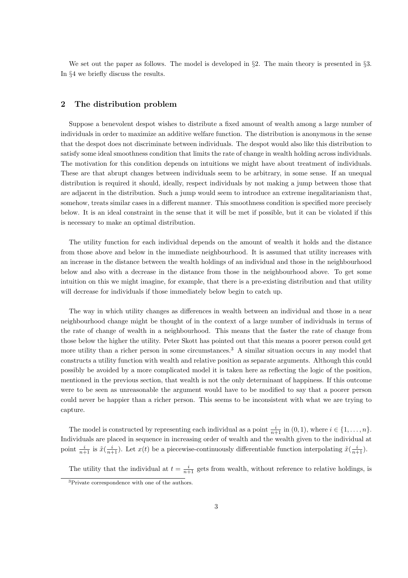We set out the paper as follows. The model is developed in  $\S 2$ . The main theory is presented in  $\S 3$ . In §4 we briefly discuss the results.

### 2 The distribution problem

Suppose a benevolent despot wishes to distribute a fixed amount of wealth among a large number of individuals in order to maximize an additive welfare function. The distribution is anonymous in the sense that the despot does not discriminate between individuals. The despot would also like this distribution to satisfy some ideal smoothness condition that limits the rate of change in wealth holding across individuals. The motivation for this condition depends on intuitions we might have about treatment of individuals. These are that abrupt changes between individuals seem to be arbitrary, in some sense. If an unequal distribution is required it should, ideally, respect individuals by not making a jump between those that are adjacent in the distribution. Such a jump would seem to introduce an extreme inegalitarianism that, somehow, treats similar cases in a different manner. This smoothness condition is specified more precisely below. It is an ideal constraint in the sense that it will be met if possible, but it can be violated if this is necessary to make an optimal distribution.

The utility function for each individual depends on the amount of wealth it holds and the distance from those above and below in the immediate neighbourhood. It is assumed that utility increases with an increase in the distance between the wealth holdings of an individual and those in the neighbourhood below and also with a decrease in the distance from those in the neighbourhood above. To get some intuition on this we might imagine, for example, that there is a pre-existing distribution and that utility will decrease for individuals if those immediately below begin to catch up.

The way in which utility changes as differences in wealth between an individual and those in a near neighbourhood change might be thought of in the context of a large number of individuals in terms of the rate of change of wealth in a neighbourhood. This means that the faster the rate of change from those below the higher the utility. Peter Skott has pointed out that this means a poorer person could get more utility than a richer person in some circumstances.<sup>3</sup> A similar situation occurs in any model that constructs a utility function with wealth and relative position as separate arguments. Although this could possibly be avoided by a more complicated model it is taken here as reflecting the logic of the position, mentioned in the previous section, that wealth is not the only determinant of happiness. If this outcome were to be seen as unreasonable the argument would have to be modified to say that a poorer person could never be happier than a richer person. This seems to be inconsistent with what we are trying to capture.

The model is constructed by representing each individual as a point  $\frac{i}{n+1}$  in  $(0, 1)$ , where  $i \in \{1, ..., n\}$ . Individuals are placed in sequence in increasing order of wealth and the wealth given to the individual at point  $\frac{i}{n+1}$  is  $\tilde{x}(\frac{i}{n+1})$ . Let  $x(t)$  be a piecewise-continuously differentiable function interpolating  $\tilde{x}(\frac{i}{n+1})$ .

The utility that the individual at  $t = \frac{i}{n+1}$  gets from wealth, without reference to relative holdings, is

<sup>3</sup>Private correspondence with one of the authors.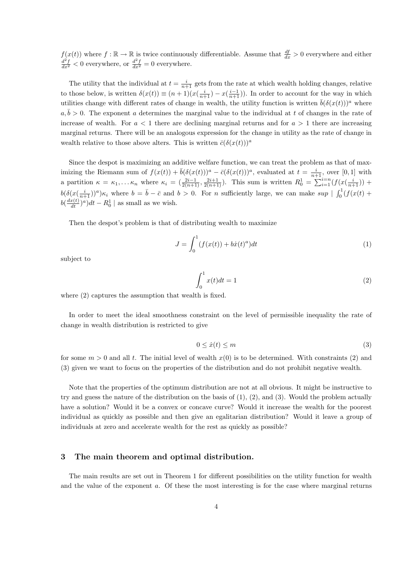$f(x(t))$  where  $f : \mathbb{R} \to \mathbb{R}$  is twice continuously differentiable. Assume that  $\frac{df}{dx} > 0$  everywhere and either  $\frac{d^2f}{dx^2}$  < 0 everywhere, or  $\frac{d^2f}{dx^2}$  = 0 everywhere.

The utility that the individual at  $t = \frac{i}{n+1}$  gets from the rate at which wealth holding changes, relative to those below, is written  $\delta(x(t)) \equiv (n+1)(x(\frac{i}{n+1}) - x(\frac{i-1}{n+1}))$ . In order to account for the way in which utilities change with different rates of change in wealth, the utility function is written  $\bar{b}(\delta(x(t)))^a$  where  $a, \bar{b} > 0$ . The exponent a determines the marginal value to the individual at t of changes in the rate of increase of wealth. For  $a < 1$  there are declining marginal returns and for  $a > 1$  there are increasing marginal returns. There will be an analogous expression for the change in utility as the rate of change in wealth relative to those above alters. This is written  $\bar{c}(\delta(x(t)))^a$ 

Since the despot is maximizing an additive welfare function, we can treat the problem as that of maximizing the Riemann sum of  $f(x(t)) + \overline{b}(\delta(x(t)))^a - \overline{c}(\delta(x(t)))^a$ , evaluated at  $t = \frac{i}{n+1}$ , over [0, 1] with a partition  $\kappa = \kappa_1, \ldots \kappa_n$  where  $\kappa_i = \left(\frac{2i-1}{2(n+1)}, \frac{2i+1}{2(n+1)}\right)$ . This sum is written  $R_0^1 = \sum_{i=1}^{i=n} (f(x(\frac{i}{n+1})) +$  $b(\delta(x(\frac{i}{n+1}))^a)\kappa_i$  where  $b=\bar{b}-\bar{c}$  and  $b>0$ . For n sufficiently large, we can make sup  $\int_0^1(f(x(t)) +$  $b(\frac{dx(t)}{dt})^a)dt - R_0^1$  as small as we wish.

Then the despot's problem is that of distributing wealth to maximize

$$
J = \int_0^1 (f(x(t)) + b\dot{x}(t)^a)dt
$$
 (1)

subject to

$$
\int_0^1 x(t)dt = 1\tag{2}
$$

where  $(2)$  captures the assumption that wealth is fixed.

In order to meet the ideal smoothness constraint on the level of permissible inequality the rate of change in wealth distribution is restricted to give

$$
0 \le \dot{x}(t) \le m \tag{3}
$$

for some  $m > 0$  and all t. The initial level of wealth  $x(0)$  is to be determined. With constraints (2) and (3) given we want to focus on the properties of the distribution and do not prohibit negative wealth.

Note that the properties of the optimum distribution are not at all obvious. It might be instructive to try and guess the nature of the distribution on the basis of (1), (2), and (3). Would the problem actually have a solution? Would it be a convex or concave curve? Would it increase the wealth for the poorest individual as quickly as possible and then give an egalitarian distribution? Would it leave a group of individuals at zero and accelerate wealth for the rest as quickly as possible?

#### 3 The main theorem and optimal distribution.

The main results are set out in Theorem 1 for different possibilities on the utility function for wealth and the value of the exponent a. Of these the most interesting is for the case where marginal returns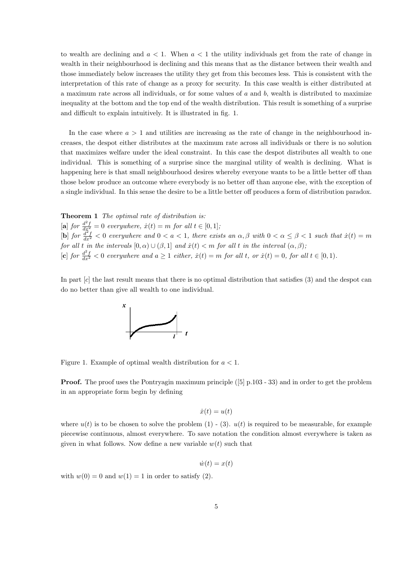to wealth are declining and  $a < 1$ . When  $a < 1$  the utility individuals get from the rate of change in wealth in their neighbourhood is declining and this means that as the distance between their wealth and those immediately below increases the utility they get from this becomes less. This is consistent with the interpretation of this rate of change as a proxy for security. In this case wealth is either distributed at a maximum rate across all individuals, or for some values of  $a$  and  $b$ , wealth is distributed to maximize inequality at the bottom and the top end of the wealth distribution. This result is something of a surprise and difficult to explain intuitively. It is illustrated in fig. 1.

In the case where  $a > 1$  and utilities are increasing as the rate of change in the neighbourhood increases, the despot either distributes at the maximum rate across all individuals or there is no solution that maximizes welfare under the ideal constraint. In this case the despot distributes all wealth to one individual. This is something of a surprise since the marginal utility of wealth is declining. What is happening here is that small neighbourhood desires whereby everyone wants to be a little better off than those below produce an outcome where everybody is no better off than anyone else, with the exception of a single individual. In this sense the desire to be a little better off produces a form of distribution paradox.

Theorem 1 The optimal rate of distribution is: [a] for  $\frac{d^2f}{dx^2} = 0$  everywhere,  $\dot{x}(t) = m$  for all  $t \in [0, 1]$ ; [b] for  $\frac{d^2f}{dx^2} < 0$  everywhere and  $0 < a < 1$ , there exists an  $\alpha, \beta$  with  $0 < \alpha \leq \beta < 1$  such that  $\dot{x}(t) = m$ for all t in the intervals  $[0, \alpha) \cup (\beta, 1]$  and  $\dot{x}(t) < m$  for all t in the interval  $(\alpha, \beta)$ ; [c] for  $\frac{d^2f}{dx^2} < 0$  everywhere and  $a \ge 1$  either,  $\dot{x}(t) = m$  for all t, or  $\dot{x}(t) = 0$ , for all  $t \in [0, 1)$ .

In part [c] the last result means that there is no optimal distribution that satisfies (3) and the despot can do no better than give all wealth to one individual.



Figure 1. Example of optimal wealth distribution for  $a < 1$ .

**Proof.** The proof uses the Pontryagin maximum principle ([5] p.103 - 33) and in order to get the problem in an appropriate form begin by defining

$$
\dot{x}(t) = u(t)
$$

where  $u(t)$  is to be chosen to solve the problem (1) - (3).  $u(t)$  is required to be measurable, for example piecewise continuous, almost everywhere. To save notation the condition almost everywhere is taken as given in what follows. Now define a new variable  $w(t)$  such that

$$
\dot{w}(t) = x(t)
$$

with  $w(0) = 0$  and  $w(1) = 1$  in order to satisfy (2).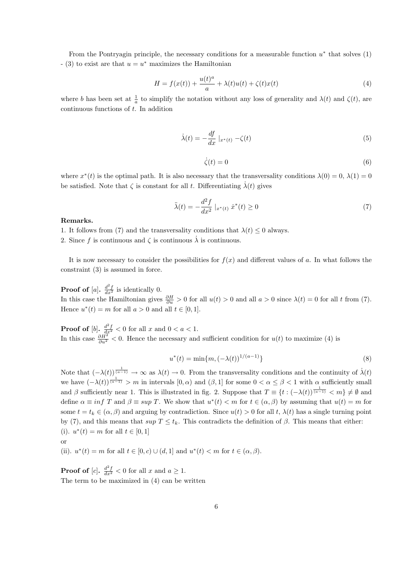From the Pontryagin principle, the necessary conditions for a measurable function  $u^*$  that solves  $(1)$  $(3)$  to exist are that  $u = u^*$  maximizes the Hamiltonian

$$
H = f(x(t)) + \frac{u(t)^a}{a} + \lambda(t)u(t) + \zeta(t)x(t)
$$
\n<sup>(4)</sup>

where b has been set at  $\frac{1}{a}$  to simplify the notation without any loss of generality and  $\lambda(t)$  and  $\zeta(t)$ , are continuous functions of t. In addition

$$
\dot{\lambda}(t) = -\frac{df}{dx}\mid_{x^*(t)} - \zeta(t) \tag{5}
$$

$$
\dot{\zeta}(t) = 0\tag{6}
$$

where  $x^*(t)$  is the optimal path. It is also necessary that the transversality conditions  $\lambda(0) = 0, \lambda(1) = 0$ be satisfied. Note that  $\zeta$  is constant for all t. Differentiating  $\dot{\lambda}(t)$  gives

$$
\ddot{\lambda}(t) = -\frac{d^2 f}{dx^2} \mid_{x^*(t)} \dot{x}^*(t) \ge 0 \tag{7}
$$

#### Remarks.

1. It follows from (7) and the transversality conditions that  $\lambda(t) \leq 0$  always.

2. Since f is continuous and  $\zeta$  is continuous  $\dot{\lambda}$  is continuous.

It is now necessary to consider the possibilities for  $f(x)$  and different values of a. In what follows the constraint (3) is assumed in force.

**Proof of** [a].  $\frac{d^2f}{dx^2}$  is identically 0. In this case the Hamiltonian gives  $\frac{\partial H}{\partial u} > 0$  for all  $u(t) > 0$  and all  $a > 0$  since  $\lambda(t) = 0$  for all t from (7). Hence  $u^*(t) = m$  for all  $a > 0$  and all  $t \in [0, 1]$ .

**Proof of** [b].  $\frac{d^2f}{dx^2} < 0$  for all x and  $0 < a < 1$ . In this case  $\frac{\partial H^2}{\partial u^2}$  < 0. Hence the necessary and sufficient condition for  $u(t)$  to maximize (4) is

$$
u^*(t) = \min\{m, (-\lambda(t))^{1/(a-1)}\}\tag{8}
$$

Note that  $(-\lambda(t))^{\frac{1}{(a-1)}} \to \infty$  as  $\lambda(t) \to 0$ . From the transversality conditions and the continuity of  $\dot{\lambda}(t)$ we have  $(-\lambda(t))^{\frac{1}{(a-1)}} > m$  in intervals  $[0, \alpha)$  and  $(\beta, 1]$  for some  $0 < \alpha \leq \beta < 1$  with  $\alpha$  sufficiently small and  $\beta$  sufficiently near 1. This is illustrated in fig. 2. Suppose that  $T \equiv \{t: (-\lambda(t))^\frac{1}{(a-1)} < m\} \neq \emptyset$  and define  $\alpha \equiv \inf T$  and  $\beta \equiv \sup T$ . We show that  $u^*(t) < m$  for  $t \in (\alpha, \beta)$  by assuming that  $u(t) = m$  for some  $t = t_k \in (\alpha, \beta)$  and arguing by contradiction. Since  $u(t) > 0$  for all  $t, \lambda(t)$  has a single turning point by (7), and this means that  $\sup T \leq t_k$ . This contradicts the definition of  $\beta$ . This means that either: (i).  $u^*(t) = m$  for all  $t \in [0, 1]$ 

$$
\quad \text{or} \quad
$$

(ii).  $u^*(t) = m$  for all  $t \in [0, c) \cup (d, 1]$  and  $u^*(t) < m$  for  $t \in (\alpha, \beta)$ .

**Proof of** [c].  $\frac{d^2f}{dx^2} < 0$  for all x and  $a \ge 1$ . The term to be maximized in (4) can be written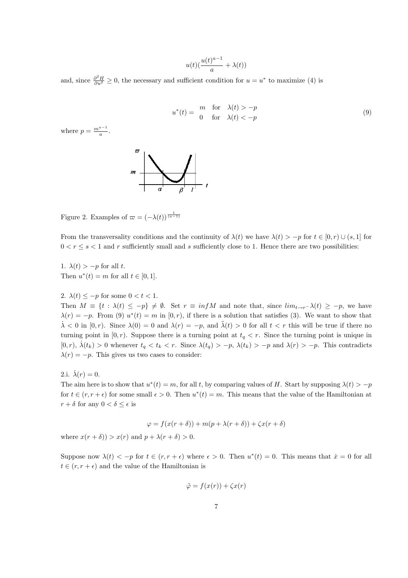$$
u(t)(\frac{u(t)^{a-1}}{a}+\lambda(t))
$$

and, since  $\frac{\partial^2 H}{\partial u^2} \ge 0$ , the necessary and sufficient condition for  $u = u^*$  to maximize (4) is

$$
u^*(t) = \begin{array}{ll}\nm & \text{for} & \lambda(t) > -p \\
0 & \text{for} & \lambda(t) < -p\n\end{array} \tag{9}
$$

where  $p = \frac{m^{a-1}}{a}$ .



Figure 2. Examples of  $\varpi = (-\lambda(t))^{\frac{1}{(a-1)}}$ 

From the transversality conditions and the continuity of  $\lambda(t)$  we have  $\lambda(t) > -p$  for  $t \in [0, r) \cup (s, 1]$  for  $0 < r \leq s < 1$  and r sufficiently small and s sufficiently close to 1. Hence there are two possibilities:

1.  $\lambda(t) > -p$  for all t. Then  $u^*(t) = m$  for all  $t \in [0, 1]$ .

2.  $\lambda(t) \leq -p$  for some  $0 < t < 1$ .

Then  $M \equiv \{t : \lambda(t) \leq -p\} \neq \emptyset$ . Set  $r \equiv \inf M$  and note that, since  $\lim_{t \to r^-} \lambda(t) \geq -p$ , we have  $\lambda(r) = -p$ . From (9)  $u^*(t) = m$  in [0, r), if there is a solution that satisfies (3). We want to show that  $\lambda < 0$  in  $[0, r)$ . Since  $\lambda(0) = 0$  and  $\lambda(r) = -p$ , and  $\lambda(t) > 0$  for all  $t < r$  this will be true if there no turning point in  $[0, r)$ . Suppose there is a turning point at  $t_q < r$ . Since the turning point is unique in [0, r),  $\lambda(t_k) > 0$  whenever  $t_q < t_k < r$ . Since  $\lambda(t_q) > -p$ ,  $\lambda(t_k) > -p$  and  $\lambda(r) > -p$ . This contradicts  $\lambda(r) = -p$ . This gives us two cases to consider:

2.i.  $\dot{\lambda}(r) = 0$ .

The aim here is to show that  $u^*(t) = m$ , for all t, by comparing values of H. Start by supposing  $\lambda(t) > -p$ for  $t \in (r, r + \epsilon)$  for some small  $\epsilon > 0$ . Then  $u^*(t) = m$ . This means that the value of the Hamiltonian at  $r + \delta$  for any  $0 < \delta \leq \epsilon$  is

$$
\varphi = f(x(r+\delta)) + m(p+\lambda(r+\delta)) + \zeta x(r+\delta)
$$

where  $x(r + \delta)$ ) >  $x(r)$  and  $p + \lambda(r + \delta)$  > 0.

Suppose now  $\lambda(t) < -p$  for  $t \in (r, r + \epsilon)$  where  $\epsilon > 0$ . Then  $u^*(t) = 0$ . This means that  $\dot{x} = 0$  for all  $t \in (r, r + \epsilon)$  and the value of the Hamiltonian is

$$
\tilde{\varphi} = f(x(r)) + \zeta x(r)
$$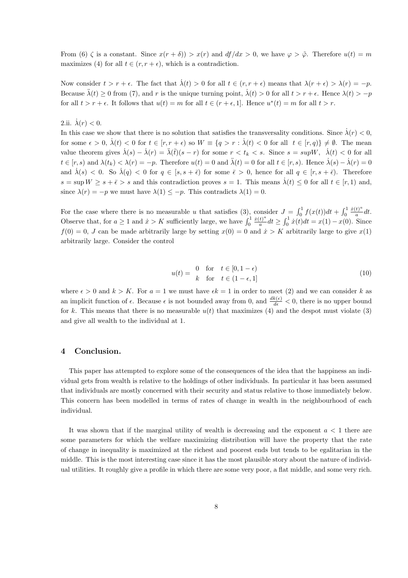From (6)  $\zeta$  is a constant. Since  $x(r+\delta) > x(r)$  and  $df/dx > 0$ , we have  $\varphi > \tilde{\varphi}$ . Therefore  $u(t) = m$ maximizes (4) for all  $t \in (r, r + \epsilon)$ , which is a contradiction.

Now consider  $t > r + \epsilon$ . The fact that  $\lambda(t) > 0$  for all  $t \in (r, r + \epsilon)$  means that  $\lambda(r + \epsilon) > \lambda(r) = -p$ . Because  $\lambda(t) \geq 0$  from (7), and r is the unique turning point,  $\lambda(t) > 0$  for all  $t > r + \epsilon$ . Hence  $\lambda(t) > -p$ for all  $t > r + \epsilon$ . It follows that  $u(t) = m$  for all  $t \in (r + \epsilon, 1]$ . Hence  $u^*(t) = m$  for all  $t > r$ .

2.ii.  $\lambda(r) < 0$ .

In this case we show that there is no solution that satisfies the transversality conditions. Since  $\lambda(r) < 0$ , for some  $\epsilon > 0$ ,  $\dot{\lambda}(t) < 0$  for  $t \in [r, r + \epsilon)$  so  $W \equiv \{q > r : \dot{\lambda}(t) < 0$  for all  $t \in [r, q)\} \neq \emptyset$ . The mean value theorem gives  $\dot{\lambda}(s) - \dot{\lambda}(r) = \ddot{\lambda}(\tilde{t})(s - r)$  for some  $r < t_k < s$ . Since  $s = \sup W, \dot{\lambda}(t) < 0$  for all  $t \in [r, s)$  and  $\lambda(t_k) < \lambda(r) = -p$ . Therefore  $u(t) = 0$  and  $\ddot{\lambda}(t) = 0$  for all  $t \in [r, s)$ . Hence  $\dot{\lambda}(s) - \dot{\lambda}(r) = 0$ and  $\lambda(s) < 0$ . So  $\lambda(q) < 0$  for  $q \in [s, s + \bar{\epsilon})$  for some  $\bar{\epsilon} > 0$ , hence for all  $q \in [r, s + \bar{\epsilon})$ . Therefore  $s = \sup W \geq s + \bar{\epsilon} > s$  and this contradiction proves  $s = 1$ . This means  $\dot{\lambda}(t) \leq 0$  for all  $t \in [r, 1)$  and, since  $\lambda(r) = -p$  we must have  $\lambda(1) \leq -p$ . This contradicts  $\lambda(1) = 0$ .

For the case where there is no measurable u that satisfies (3), consider  $J = \int_0^1 f(x(t))dt + \int_0^1 f(x(t))dt$  $\dot{x}(t)^a$  $\frac{dy}{a}dt$ . Observe that, for  $a \ge 1$  and  $\dot{x} > K$  sufficiently large, we have  $\int_0^1$  $\dot{x}(t)^a$  $\frac{f^{(t)}}{a}dt \geq \int_0^1 \dot{x}(t)dt = x(1) - x(0)$ . Since  $f(0) = 0$ , J can be made arbitrarily large by setting  $x(0) = 0$  and  $\dot{x} > K$  arbitrarily large to give  $x(1)$ arbitrarily large. Consider the control

$$
u(t) = \begin{array}{cc} 0 & \text{for} \quad t \in [0, 1 - \epsilon) \\ k & \text{for} \quad t \in (1 - \epsilon, 1] \end{array} \tag{10}
$$

where  $\epsilon > 0$  and  $k > K$ . For  $a = 1$  we must have  $\epsilon k = 1$  in order to meet (2) and we can consider k as an implicit function of  $\epsilon$ . Because  $\epsilon$  is not bounded away from 0, and  $\frac{dk(\epsilon)}{d\epsilon} < 0$ , there is no upper bound for k. This means that there is no measurable  $u(t)$  that maximizes (4) and the despot must violate (3) and give all wealth to the individual at 1.

#### 4 Conclusion.

This paper has attempted to explore some of the consequences of the idea that the happiness an individual gets from wealth is relative to the holdings of other individuals. In particular it has been assumed that individuals are mostly concerned with their security and status relative to those immediately below. This concern has been modelled in terms of rates of change in wealth in the neighbourhood of each individual.

It was shown that if the marginal utility of wealth is decreasing and the exponent  $a < 1$  there are some parameters for which the welfare maximizing distribution will have the property that the rate of change in inequality is maximized at the richest and poorest ends but tends to be egalitarian in the middle. This is the most interesting case since it has the most plausible story about the nature of individual utilities. It roughly give a profile in which there are some very poor, a flat middle, and some very rich.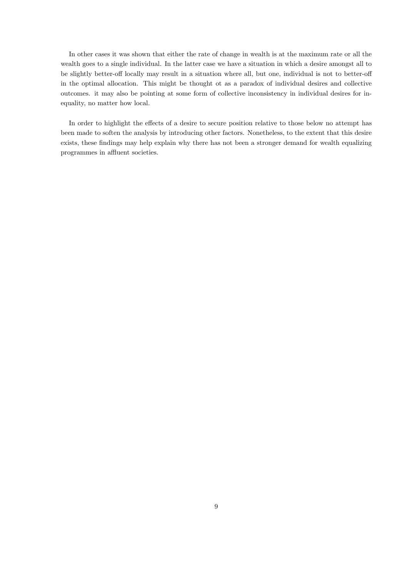In other cases it was shown that either the rate of change in wealth is at the maximum rate or all the wealth goes to a single individual. In the latter case we have a situation in which a desire amongst all to be slightly better-off locally may result in a situation where all, but one, individual is not to better-off in the optimal allocation. This might be thought ot as a paradox of individual desires and collective outcomes. it may also be pointing at some form of collective inconsistency in individual desires for inequality, no matter how local.

In order to highlight the effects of a desire to secure position relative to those below no attempt has been made to soften the analysis by introducing other factors. Nonetheless, to the extent that this desire exists, these findings may help explain why there has not been a stronger demand for wealth equalizing programmes in affluent societies.